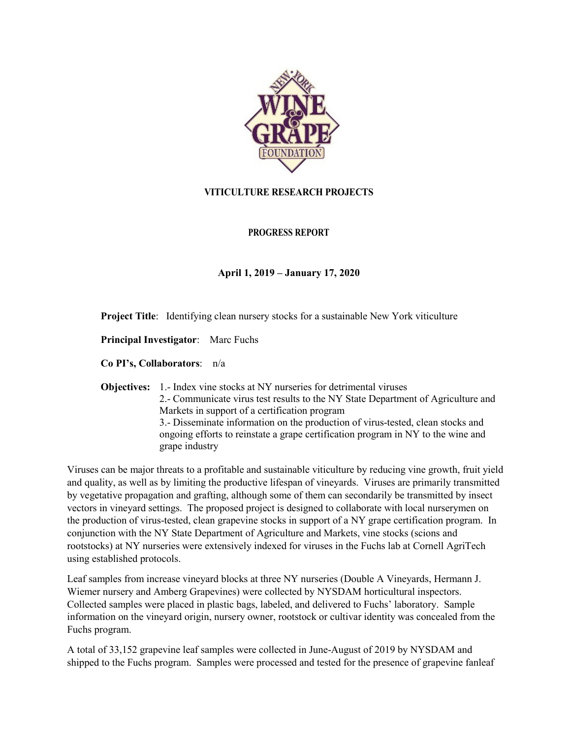

# **VITICULTURE RESEARCH PROJECTS**

## **PROGRESS REPORT**

## **April 1, 2019 – January 17, 2020**

**Project Title**: Identifying clean nursery stocks for a sustainable New York viticulture

**Principal Investigator**: Marc Fuchs

**Co PI's, Collaborators**: n/a

**Objectives:** 1.- Index vine stocks at NY nurseries for detrimental viruses 2.- Communicate virus test results to the NY State Department of Agriculture and Markets in support of a certification program 3.- Disseminate information on the production of virus-tested, clean stocks and ongoing efforts to reinstate a grape certification program in NY to the wine and grape industry

Viruses can be major threats to a profitable and sustainable viticulture by reducing vine growth, fruit yield and quality, as well as by limiting the productive lifespan of vineyards. Viruses are primarily transmitted by vegetative propagation and grafting, although some of them can secondarily be transmitted by insect vectors in vineyard settings. The proposed project is designed to collaborate with local nurserymen on the production of virus-tested, clean grapevine stocks in support of a NY grape certification program. In conjunction with the NY State Department of Agriculture and Markets, vine stocks (scions and rootstocks) at NY nurseries were extensively indexed for viruses in the Fuchs lab at Cornell AgriTech using established protocols.

Leaf samples from increase vineyard blocks at three NY nurseries (Double A Vineyards, Hermann J. Wiemer nursery and Amberg Grapevines) were collected by NYSDAM horticultural inspectors. Collected samples were placed in plastic bags, labeled, and delivered to Fuchs' laboratory. Sample information on the vineyard origin, nursery owner, rootstock or cultivar identity was concealed from the Fuchs program.

A total of 33,152 grapevine leaf samples were collected in June-August of 2019 by NYSDAM and shipped to the Fuchs program. Samples were processed and tested for the presence of grapevine fanleaf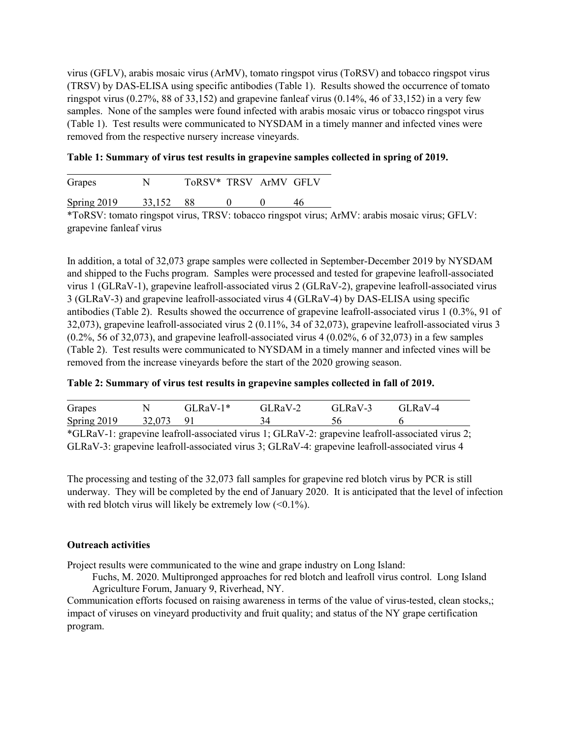virus (GFLV), arabis mosaic virus (ArMV), tomato ringspot virus (ToRSV) and tobacco ringspot virus (TRSV) by DAS-ELISA using specific antibodies (Table 1). Results showed the occurrence of tomato ringspot virus  $(0.27\%$ , 88 of 33,152) and grapevine fanleaf virus  $(0.14\%$ , 46 of 33,152) in a very few samples. None of the samples were found infected with arabis mosaic virus or tobacco ringspot virus (Table 1). Test results were communicated to NYSDAM in a timely manner and infected vines were removed from the respective nursery increase vineyards.

### **Table 1: Summary of virus test results in grapevine samples collected in spring of 2019.**

| Grapes             |        | ToRSV* TRSV ArMV GFLV |  |  |
|--------------------|--------|-----------------------|--|--|
| <b>Spring 2019</b> | 33,152 |                       |  |  |

\*ToRSV: tomato ringspot virus, TRSV: tobacco ringspot virus; ArMV: arabis mosaic virus; GFLV: grapevine fanleaf virus

In addition, a total of 32,073 grape samples were collected in September-December 2019 by NYSDAM and shipped to the Fuchs program. Samples were processed and tested for grapevine leafroll-associated virus 1 (GLRaV-1), grapevine leafroll-associated virus 2 (GLRaV-2), grapevine leafroll-associated virus 3 (GLRaV-3) and grapevine leafroll-associated virus 4 (GLRaV-4) by DAS-ELISA using specific antibodies (Table 2). Results showed the occurrence of grapevine leafroll-associated virus 1 (0.3%, 91 of 32,073), grapevine leafroll-associated virus 2 (0.11%, 34 of 32,073), grapevine leafroll-associated virus 3  $(0.2\%$ , 56 of 32,073), and grapevine leafroll-associated virus 4  $(0.02\%$ , 6 of 32,073) in a few samples (Table 2). Test results were communicated to NYSDAM in a timely manner and infected vines will be removed from the increase vineyards before the start of the 2020 growing season.

#### **Table 2: Summary of virus test results in grapevine samples collected in fall of 2019.**

| Grapes      |           | $GLRaV-1*$ | $GLRaV-2$ | $GLRaV-3$ | $GLRaV-4$ |
|-------------|-----------|------------|-----------|-----------|-----------|
| Spring 2019 | 32,073 91 |            |           |           |           |

\*GLRaV-1: grapevine leafroll-associated virus 1; GLRaV-2: grapevine leafroll-associated virus 2; GLRaV-3: grapevine leafroll-associated virus 3; GLRaV-4: grapevine leafroll-associated virus 4

The processing and testing of the 32,073 fall samples for grapevine red blotch virus by PCR is still underway. They will be completed by the end of January 2020. It is anticipated that the level of infection with red blotch virus will likely be extremely low  $\left($  < 0.1%).

### **Outreach activities**

Project results were communicated to the wine and grape industry on Long Island:

Fuchs, M. 2020. Multipronged approaches for red blotch and leafroll virus control. Long Island Agriculture Forum, January 9, Riverhead, NY.

Communication efforts focused on raising awareness in terms of the value of virus-tested, clean stocks,; impact of viruses on vineyard productivity and fruit quality; and status of the NY grape certification program.